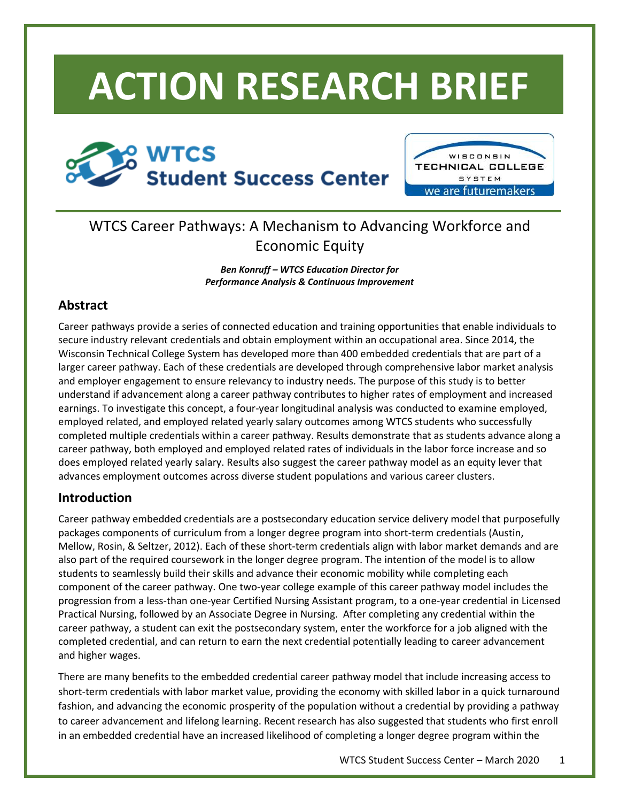# **ACTION RESEARCH BRIEF**





## WTCS Career Pathways: A Mechanism to Advancing Workforce and Economic Equity

*Ben Konruff – WTCS Education Director for Performance Analysis & Continuous Improvement*

## **Abstract**

Career pathways provide a series of connected education and training opportunities that enable individuals to secure industry relevant credentials and obtain employment within an occupational area. Since 2014, the Wisconsin Technical College System has developed more than 400 embedded credentials that are part of a larger career pathway. Each of these credentials are developed through comprehensive labor market analysis and employer engagement to ensure relevancy to industry needs. The purpose of this study is to better understand if advancement along a career pathway contributes to higher rates of employment and increased earnings. To investigate this concept, a four-year longitudinal analysis was conducted to examine employed, employed related, and employed related yearly salary outcomes among WTCS students who successfully completed multiple credentials within a career pathway. Results demonstrate that as students advance along a career pathway, both employed and employed related rates of individuals in the labor force increase and so does employed related yearly salary. Results also suggest the career pathway model as an equity lever that advances employment outcomes across diverse student populations and various career clusters.

## **Introduction**

Career pathway embedded credentials are a postsecondary education service delivery model that purposefully packages components of curriculum from a longer degree program into short-term credentials (Austin, Mellow, Rosin, & Seltzer, 2012). Each of these short-term credentials align with labor market demands and are also part of the required coursework in the longer degree program. The intention of the model is to allow students to seamlessly build their skills and advance their economic mobility while completing each component of the career pathway. One two-year college example of this career pathway model includes the progression from a less-than one-year Certified Nursing Assistant program, to a one-year credential in Licensed Practical Nursing, followed by an Associate Degree in Nursing. After completing any credential within the career pathway, a student can exit the postsecondary system, enter the workforce for a job aligned with the completed credential, and can return to earn the next credential potentially leading to career advancement and higher wages.

There are many benefits to the embedded credential career pathway model that include increasing access to short-term credentials with labor market value, providing the economy with skilled labor in a quick turnaround fashion, and advancing the economic prosperity of the population without a credential by providing a pathway to career advancement and lifelong learning. Recent research has also suggested that students who first enroll in an embedded credential have an increased likelihood of completing a longer degree program within the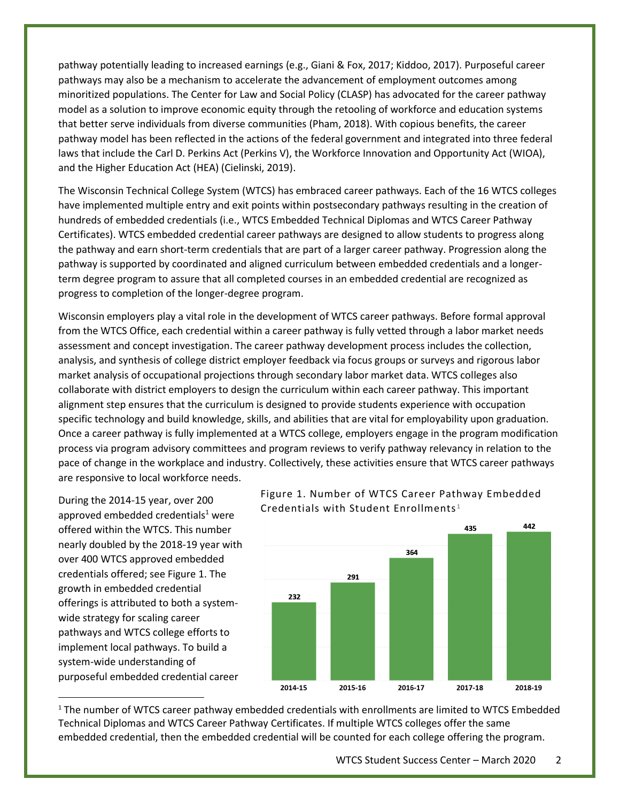pathway potentially leading to increased earnings (e.g., Giani & Fox, 2017; Kiddoo, 2017). Purposeful career pathways may also be a mechanism to accelerate the advancement of employment outcomes among minoritized populations. The Center for Law and Social Policy (CLASP) has advocated for the career pathway model as a solution to improve economic equity through the retooling of workforce and education systems that better serve individuals from diverse communities (Pham, 2018). With copious benefits, the career pathway model has been reflected in the actions of the federal government and integrated into three federal laws that include the Carl D. Perkins Act (Perkins V), the Workforce Innovation and Opportunity Act (WIOA), and the Higher Education Act (HEA) (Cielinski, 2019).

The Wisconsin Technical College System (WTCS) has embraced career pathways. Each of the 16 WTCS colleges have implemented multiple entry and exit points within postsecondary pathways resulting in the creation of hundreds of embedded credentials (i.e., WTCS Embedded Technical Diplomas and WTCS Career Pathway Certificates). WTCS embedded credential career pathways are designed to allow students to progress along the pathway and earn short-term credentials that are part of a larger career pathway. Progression along the pathway is supported by coordinated and aligned curriculum between embedded credentials and a longerterm degree program to assure that all completed courses in an embedded credential are recognized as progress to completion of the longer-degree program.

Wisconsin employers play a vital role in the development of WTCS career pathways. Before formal approval from the WTCS Office, each credential within a career pathway is fully vetted through a labor market needs assessment and concept investigation. The career pathway development process includes the collection, analysis, and synthesis of college district employer feedback via focus groups or surveys and rigorous labor market analysis of occupational projections through secondary labor market data. WTCS colleges also collaborate with district employers to design the curriculum within each career pathway. This important alignment step ensures that the curriculum is designed to provide students experience with occupation specific technology and build knowledge, skills, and abilities that are vital for employability upon graduation. Once a career pathway is fully implemented at a WTCS college, employers engage in the program modification process via program advisory committees and program reviews to verify pathway relevancy in relation to the pace of change in the workplace and industry. Collectively, these activities ensure that WTCS career pathways are responsive to local workforce needs.

During the 2014-15 year, over 200 approved embedded credentials<sup>1</sup> were offered within the WTCS. This number nearly doubled by the 2018-19 year with over 400 WTCS approved embedded credentials offered; see Figure 1. The growth in embedded credential offerings is attributed to both a systemwide strategy for scaling career pathways and WTCS college efforts to implement local pathways. To build a system-wide understanding of purposeful embedded credential career





<sup>1</sup> The number of WTCS career pathway embedded credentials with enrollments are limited to WTCS Embedded Technical Diplomas and WTCS Career Pathway Certificates. If multiple WTCS colleges offer the same embedded credential, then the embedded credential will be counted for each college offering the program.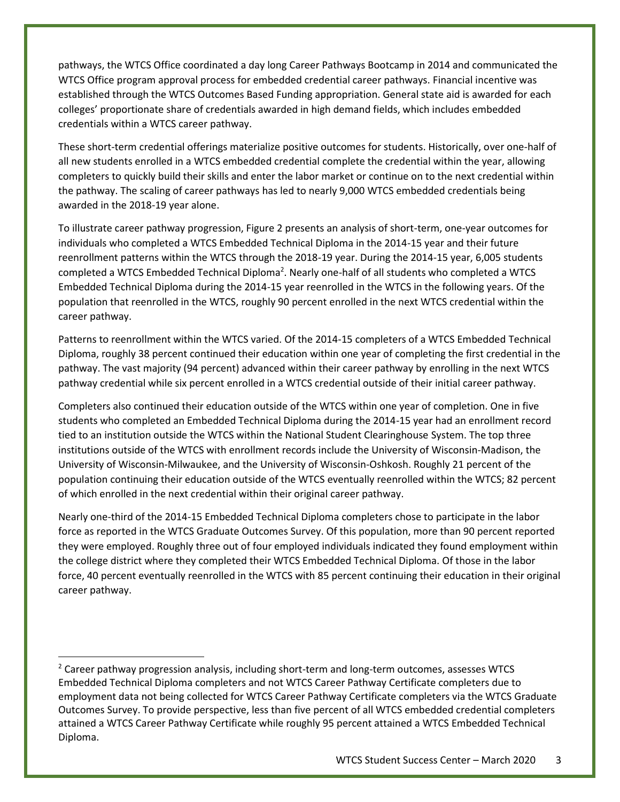pathways, the WTCS Office coordinated a day long Career Pathways Bootcamp in 2014 and communicated the WTCS Office program approval process for embedded credential career pathways. Financial incentive was established through the WTCS Outcomes Based Funding appropriation. General state aid is awarded for each colleges' proportionate share of credentials awarded in high demand fields, which includes embedded credentials within a WTCS career pathway.

These short-term credential offerings materialize positive outcomes for students. Historically, over one-half of all new students enrolled in a WTCS embedded credential complete the credential within the year, allowing completers to quickly build their skills and enter the labor market or continue on to the next credential within the pathway. The scaling of career pathways has led to nearly 9,000 WTCS embedded credentials being awarded in the 2018-19 year alone.

To illustrate career pathway progression, Figure 2 presents an analysis of short-term, one-year outcomes for individuals who completed a WTCS Embedded Technical Diploma in the 2014-15 year and their future reenrollment patterns within the WTCS through the 2018-19 year. During the 2014-15 year, 6,005 students completed a WTCS Embedded Technical Diploma<sup>2</sup>. Nearly one-half of all students who completed a WTCS Embedded Technical Diploma during the 2014-15 year reenrolled in the WTCS in the following years. Of the population that reenrolled in the WTCS, roughly 90 percent enrolled in the next WTCS credential within the career pathway.

Patterns to reenrollment within the WTCS varied. Of the 2014-15 completers of a WTCS Embedded Technical Diploma, roughly 38 percent continued their education within one year of completing the first credential in the pathway. The vast majority (94 percent) advanced within their career pathway by enrolling in the next WTCS pathway credential while six percent enrolled in a WTCS credential outside of their initial career pathway.

Completers also continued their education outside of the WTCS within one year of completion. One in five students who completed an Embedded Technical Diploma during the 2014-15 year had an enrollment record tied to an institution outside the WTCS within the National Student Clearinghouse System. The top three institutions outside of the WTCS with enrollment records include the University of Wisconsin-Madison, the University of Wisconsin-Milwaukee, and the University of Wisconsin-Oshkosh. Roughly 21 percent of the population continuing their education outside of the WTCS eventually reenrolled within the WTCS; 82 percent of which enrolled in the next credential within their original career pathway.

Nearly one-third of the 2014-15 Embedded Technical Diploma completers chose to participate in the labor force as reported in the WTCS Graduate Outcomes Survey. Of this population, more than 90 percent reported they were employed. Roughly three out of four employed individuals indicated they found employment within the college district where they completed their WTCS Embedded Technical Diploma. Of those in the labor force, 40 percent eventually reenrolled in the WTCS with 85 percent continuing their education in their original career pathway.

<sup>&</sup>lt;sup>2</sup> Career pathway progression analysis, including short-term and long-term outcomes, assesses WTCS Embedded Technical Diploma completers and not WTCS Career Pathway Certificate completers due to employment data not being collected for WTCS Career Pathway Certificate completers via the WTCS Graduate Outcomes Survey. To provide perspective, less than five percent of all WTCS embedded credential completers attained a WTCS Career Pathway Certificate while roughly 95 percent attained a WTCS Embedded Technical Diploma.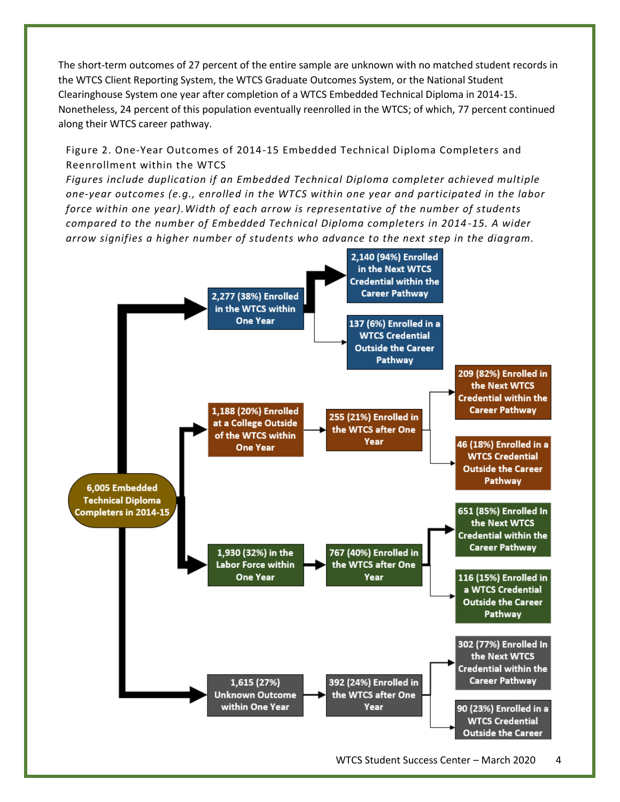The short-term outcomes of 27 percent of the entire sample are unknown with no matched student records in the WTCS Client Reporting System, the WTCS Graduate Outcomes System, or the National Student Clearinghouse System one year after completion of a WTCS Embedded Technical Diploma in 2014-15. Nonetheless, 24 percent of this population eventually reenrolled in the WTCS; of which, 77 percent continued along their WTCS career pathway.

Figure 2. One-Year Outcomes of 2014-15 Embedded Technical Diploma Completers and Reenrollment within the WTCS

*Figures include duplication if an Embedded Technical Diploma completer achieved multiple one-year outcomes (e.g., enrolled in the WTCS within one year and participated in the labor force within one year).Width of each arrow is representative of the number of students compared to the number of Embedded Technical Diploma completers in 2014 -15. A wider arrow signifies a higher number of students who advance to the next step in the diagram.*

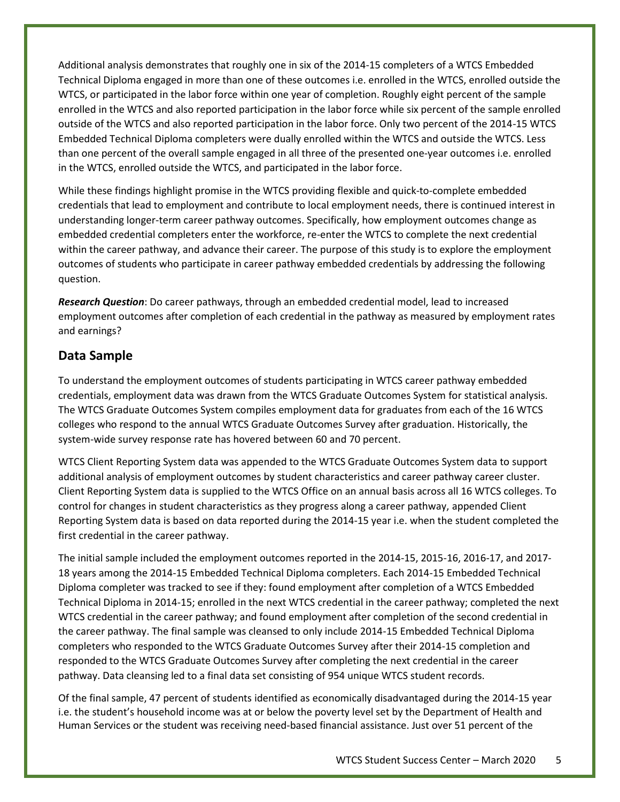Additional analysis demonstrates that roughly one in six of the 2014-15 completers of a WTCS Embedded Technical Diploma engaged in more than one of these outcomes i.e. enrolled in the WTCS, enrolled outside the WTCS, or participated in the labor force within one year of completion. Roughly eight percent of the sample enrolled in the WTCS and also reported participation in the labor force while six percent of the sample enrolled outside of the WTCS and also reported participation in the labor force. Only two percent of the 2014-15 WTCS Embedded Technical Diploma completers were dually enrolled within the WTCS and outside the WTCS. Less than one percent of the overall sample engaged in all three of the presented one-year outcomes i.e. enrolled in the WTCS, enrolled outside the WTCS, and participated in the labor force.

While these findings highlight promise in the WTCS providing flexible and quick-to-complete embedded credentials that lead to employment and contribute to local employment needs, there is continued interest in understanding longer-term career pathway outcomes. Specifically, how employment outcomes change as embedded credential completers enter the workforce, re-enter the WTCS to complete the next credential within the career pathway, and advance their career. The purpose of this study is to explore the employment outcomes of students who participate in career pathway embedded credentials by addressing the following question.

*Research Question*: Do career pathways, through an embedded credential model, lead to increased employment outcomes after completion of each credential in the pathway as measured by employment rates and earnings?

## **Data Sample**

To understand the employment outcomes of students participating in WTCS career pathway embedded credentials, employment data was drawn from the WTCS Graduate Outcomes System for statistical analysis. The WTCS Graduate Outcomes System compiles employment data for graduates from each of the 16 WTCS colleges who respond to the annual WTCS Graduate Outcomes Survey after graduation. Historically, the system-wide survey response rate has hovered between 60 and 70 percent.

WTCS Client Reporting System data was appended to the WTCS Graduate Outcomes System data to support additional analysis of employment outcomes by student characteristics and career pathway career cluster. Client Reporting System data is supplied to the WTCS Office on an annual basis across all 16 WTCS colleges. To control for changes in student characteristics as they progress along a career pathway, appended Client Reporting System data is based on data reported during the 2014-15 year i.e. when the student completed the first credential in the career pathway.

The initial sample included the employment outcomes reported in the 2014-15, 2015-16, 2016-17, and 2017- 18 years among the 2014-15 Embedded Technical Diploma completers. Each 2014-15 Embedded Technical Diploma completer was tracked to see if they: found employment after completion of a WTCS Embedded Technical Diploma in 2014-15; enrolled in the next WTCS credential in the career pathway; completed the next WTCS credential in the career pathway; and found employment after completion of the second credential in the career pathway. The final sample was cleansed to only include 2014-15 Embedded Technical Diploma completers who responded to the WTCS Graduate Outcomes Survey after their 2014-15 completion and responded to the WTCS Graduate Outcomes Survey after completing the next credential in the career pathway. Data cleansing led to a final data set consisting of 954 unique WTCS student records.

Of the final sample, 47 percent of students identified as economically disadvantaged during the 2014-15 year i.e. the student's household income was at or below the poverty level set by the Department of Health and Human Services or the student was receiving need-based financial assistance. Just over 51 percent of the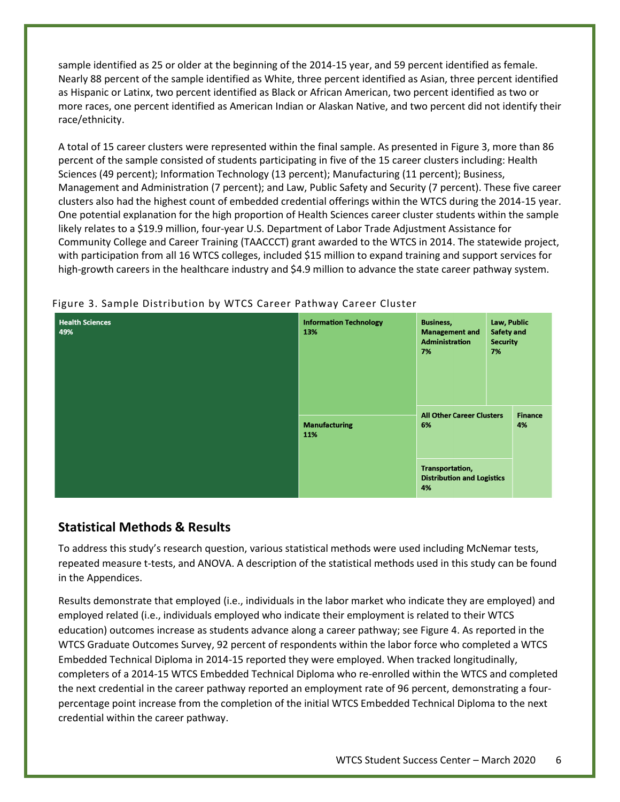sample identified as 25 or older at the beginning of the 2014-15 year, and 59 percent identified as female. Nearly 88 percent of the sample identified as White, three percent identified as Asian, three percent identified as Hispanic or Latinx, two percent identified as Black or African American, two percent identified as two or more races, one percent identified as American Indian or Alaskan Native, and two percent did not identify their race/ethnicity.

A total of 15 career clusters were represented within the final sample. As presented in Figure 3, more than 86 percent of the sample consisted of students participating in five of the 15 career clusters including: Health Sciences (49 percent); Information Technology (13 percent); Manufacturing (11 percent); Business, Management and Administration (7 percent); and Law, Public Safety and Security (7 percent). These five career clusters also had the highest count of embedded credential offerings within the WTCS during the 2014-15 year. One potential explanation for the high proportion of Health Sciences career cluster students within the sample likely relates to a \$19.9 million, four-year U.S. Department of Labor Trade Adjustment Assistance for Community College and Career Training (TAACCCT) grant awarded to the WTCS in 2014. The statewide project, with participation from all 16 WTCS colleges, included \$15 million to expand training and support services for high-growth careers in the healthcare industry and \$4.9 million to advance the state career pathway system.

| <b>Health Sciences</b><br>49% | <b>Information Technology</b><br>13% | <b>Business,</b><br><b>Management and</b><br><b>Administration</b><br>7% | Law, Public<br><b>Safety and</b><br><b>Security</b><br>7% |                      |
|-------------------------------|--------------------------------------|--------------------------------------------------------------------------|-----------------------------------------------------------|----------------------|
|                               | <b>Manufacturing</b><br>11%          | <b>All Other Career Clusters</b><br>6%                                   |                                                           | <b>Finance</b><br>4% |
|                               |                                      | Transportation,<br><b>Distribution and Logistics</b><br>4%               |                                                           |                      |

#### Figure 3. Sample Distribution by WTCS Career Pathway Career Cluster

## **Statistical Methods & Results**

To address this study's research question, various statistical methods were used including McNemar tests, repeated measure t-tests, and ANOVA. A description of the statistical methods used in this study can be found in the Appendices.

Results demonstrate that employed (i.e., individuals in the labor market who indicate they are employed) and employed related (i.e., individuals employed who indicate their employment is related to their WTCS education) outcomes increase as students advance along a career pathway; see Figure 4. As reported in the WTCS Graduate Outcomes Survey, 92 percent of respondents within the labor force who completed a WTCS Embedded Technical Diploma in 2014-15 reported they were employed. When tracked longitudinally, completers of a 2014-15 WTCS Embedded Technical Diploma who re-enrolled within the WTCS and completed the next credential in the career pathway reported an employment rate of 96 percent, demonstrating a fourpercentage point increase from the completion of the initial WTCS Embedded Technical Diploma to the next credential within the career pathway.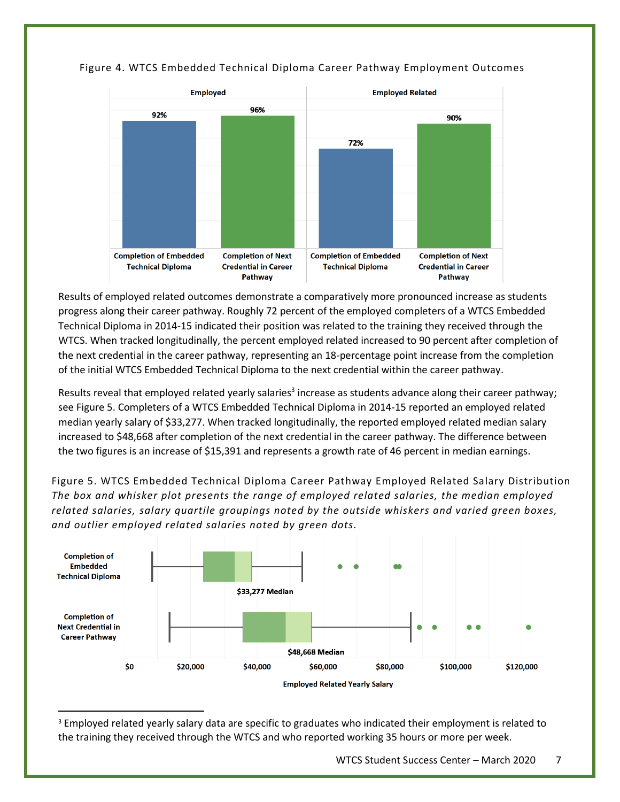

#### Figure 4. WTCS Embedded Technical Diploma Career Pathway Employment Outcomes

Results of employed related outcomes demonstrate a comparatively more pronounced increase as students progress along their career pathway. Roughly 72 percent of the employed completers of a WTCS Embedded Technical Diploma in 2014-15 indicated their position was related to the training they received through the WTCS. When tracked longitudinally, the percent employed related increased to 90 percent after completion of the next credential in the career pathway, representing an 18-percentage point increase from the completion of the initial WTCS Embedded Technical Diploma to the next credential within the career pathway.

Results reveal that employed related yearly salaries<sup>3</sup> increase as students advance along their career pathway; see Figure 5. Completers of a WTCS Embedded Technical Diploma in 2014-15 reported an employed related median yearly salary of \$33,277. When tracked longitudinally, the reported employed related median salary increased to \$48,668 after completion of the next credential in the career pathway. The difference between the two figures is an increase of \$15,391 and represents a growth rate of 46 percent in median earnings.

Figure 5. WTCS Embedded Technical Diploma Career Pathway Employed Related Salary Distribution *The box and whisker plot presents the range of employed related salaries, the median employed related salaries, salary quartile groupings noted by the outside whiskers and varied green boxes, and outlier employed related salaries noted by green dots.*



<sup>3</sup> Employed related yearly salary data are specific to graduates who indicated their employment is related to the training they received through the WTCS and who reported working 35 hours or more per week.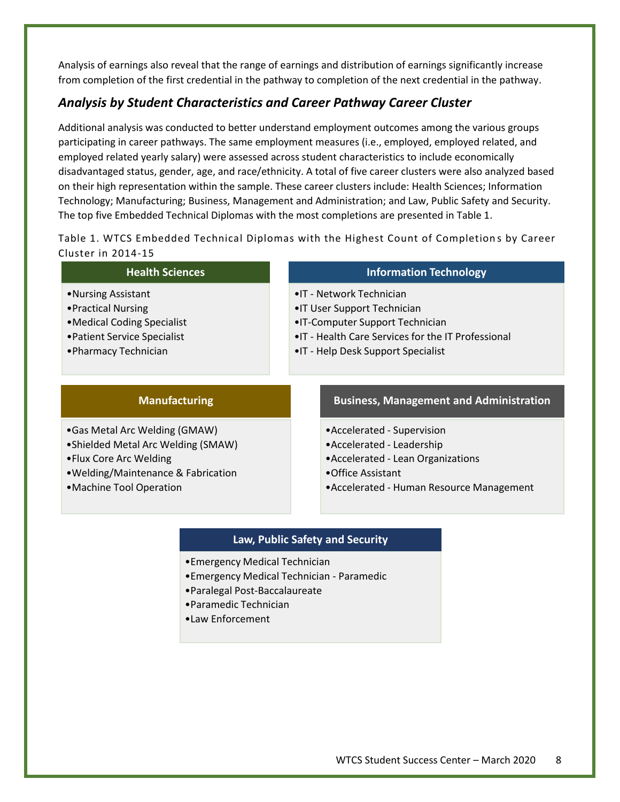Analysis of earnings also reveal that the range of earnings and distribution of earnings significantly increase from completion of the first credential in the pathway to completion of the next credential in the pathway.

## *Analysis by Student Characteristics and Career Pathway Career Cluster*

Additional analysis was conducted to better understand employment outcomes among the various groups participating in career pathways. The same employment measures (i.e., employed, employed related, and employed related yearly salary) were assessed across student characteristics to include economically disadvantaged status, gender, age, and race/ethnicity. A total of five career clusters were also analyzed based on their high representation within the sample. These career clusters include: Health Sciences; Information Technology; Manufacturing; Business, Management and Administration; and Law, Public Safety and Security. The top five Embedded Technical Diplomas with the most completions are presented in Table 1.

Table 1. WTCS Embedded Technical Diplomas with the Highest Count of Completion s by Career Cluster in 2014-15

| <b>Health Sciences</b>                                                                                                            | <b>Information Technology</b>                                                                                                                                                               |
|-----------------------------------------------------------------------------------------------------------------------------------|---------------------------------------------------------------------------------------------------------------------------------------------------------------------------------------------|
| •Nursing Assistant<br>• Practical Nursing<br>• Medical Coding Specialist<br>• Patient Service Specialist<br>• Pharmacy Technician | • IT - Network Technician<br>• IT User Support Technician<br>• IT-Computer Support Technician<br>• IT - Health Care Services for the IT Professional<br>• IT - Help Desk Support Specialist |
|                                                                                                                                   |                                                                                                                                                                                             |

### **Manufacturing**

•Gas Metal Arc Welding (GMAW)

- •Shielded Metal Arc Welding (SMAW)
- •Flux Core Arc Welding
- •Welding/Maintenance & Fabrication
- •Machine Tool Operation

#### **Business, Management and Administration**

- •Accelerated Supervision
- •Accelerated Leadership
- •Accelerated Lean Organizations
- •Office Assistant
- •Accelerated Human Resource Management

#### **Law, Public Safety and Security**

- •Emergency Medical Technician
- •Emergency Medical Technician Paramedic
- •Paralegal Post-Baccalaureate
- •Paramedic Technician
- •Law Enforcement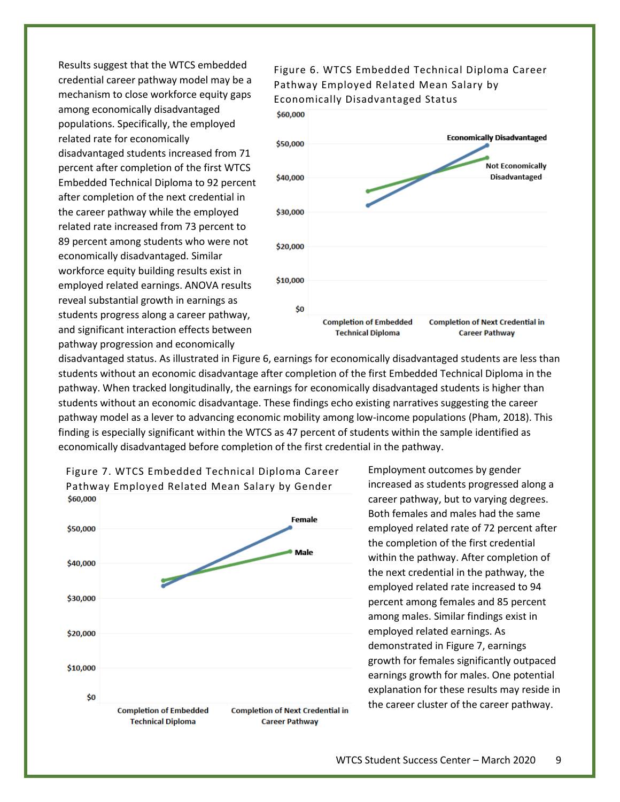Results suggest that the WTCS embedded credential career pathway model may be a mechanism to close workforce equity gaps among economically disadvantaged populations. Specifically, the employed related rate for economically disadvantaged students increased from 71 percent after completion of the first WTCS Embedded Technical Diploma to 92 percent after completion of the next credential in the career pathway while the employed related rate increased from 73 percent to 89 percent among students who were not economically disadvantaged. Similar workforce equity building results exist in employed related earnings. ANOVA results reveal substantial growth in earnings as students progress along a career pathway, and significant interaction effects between pathway progression and economically



Figure 6. WTCS Embedded Technical Diploma Career

disadvantaged status. As illustrated in Figure 6, earnings for economically disadvantaged students are less than students without an economic disadvantage after completion of the first Embedded Technical Diploma in the pathway. When tracked longitudinally, the earnings for economically disadvantaged students is higher than students without an economic disadvantage. These findings echo existing narratives suggesting the career pathway model as a lever to advancing economic mobility among low-income populations (Pham, 2018). This finding is especially significant within the WTCS as 47 percent of students within the sample identified as economically disadvantaged before completion of the first credential in the pathway.



Employment outcomes by gender increased as students progressed along a career pathway, but to varying degrees. Both females and males had the same employed related rate of 72 percent after the completion of the first credential within the pathway. After completion of the next credential in the pathway, the employed related rate increased to 94 percent among females and 85 percent among males. Similar findings exist in employed related earnings. As demonstrated in Figure 7, earnings growth for females significantly outpaced earnings growth for males. One potential explanation for these results may reside in the career cluster of the career pathway.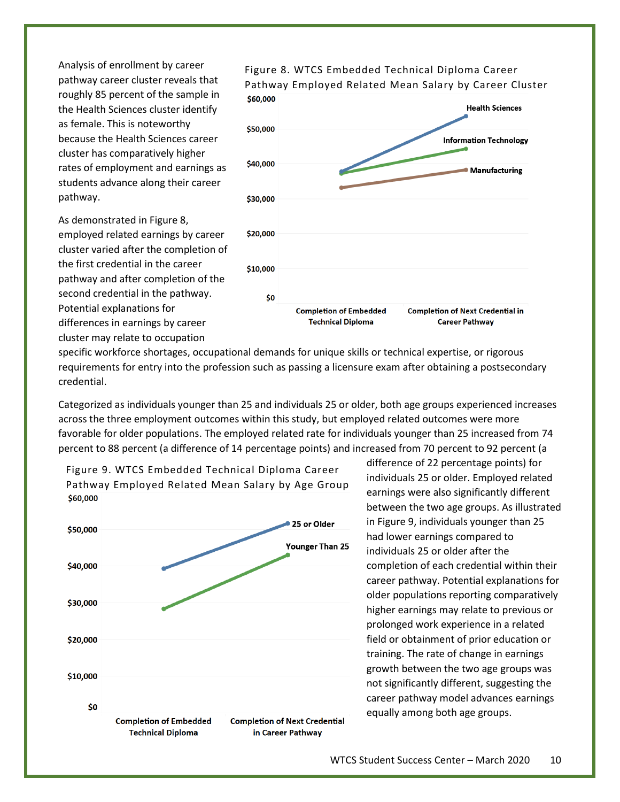Analysis of enrollment by career pathway career cluster reveals that roughly 85 percent of the sample in the Health Sciences cluster identify as female. This is noteworthy because the Health Sciences career cluster has comparatively higher rates of employment and earnings as students advance along their career pathway.

As demonstrated in Figure 8, employed related earnings by career cluster varied after the completion of the first credential in the career pathway and after completion of the second credential in the pathway. Potential explanations for differences in earnings by career cluster may relate to occupation



specific workforce shortages, occupational demands for unique skills or technical expertise, or rigorous requirements for entry into the profession such as passing a licensure exam after obtaining a postsecondary credential.

Categorized as individuals younger than 25 and individuals 25 or older, both age groups experienced increases across the three employment outcomes within this study, but employed related outcomes were more favorable for older populations. The employed related rate for individuals younger than 25 increased from 74 percent to 88 percent (a difference of 14 percentage points) and increased from 70 percent to 92 percent (a



difference of 22 percentage points) for individuals 25 or older. Employed related earnings were also significantly different between the two age groups. As illustrated in Figure 9, individuals younger than 25 had lower earnings compared to individuals 25 or older after the completion of each credential within their career pathway. Potential explanations for older populations reporting comparatively higher earnings may relate to previous or prolonged work experience in a related field or obtainment of prior education or training. The rate of change in earnings growth between the two age groups was not significantly different, suggesting the career pathway model advances earnings equally among both age groups.

Figure 8. WTCS Embedded Technical Diploma Career Pathway Employed Related Mean Salary by Career Cluster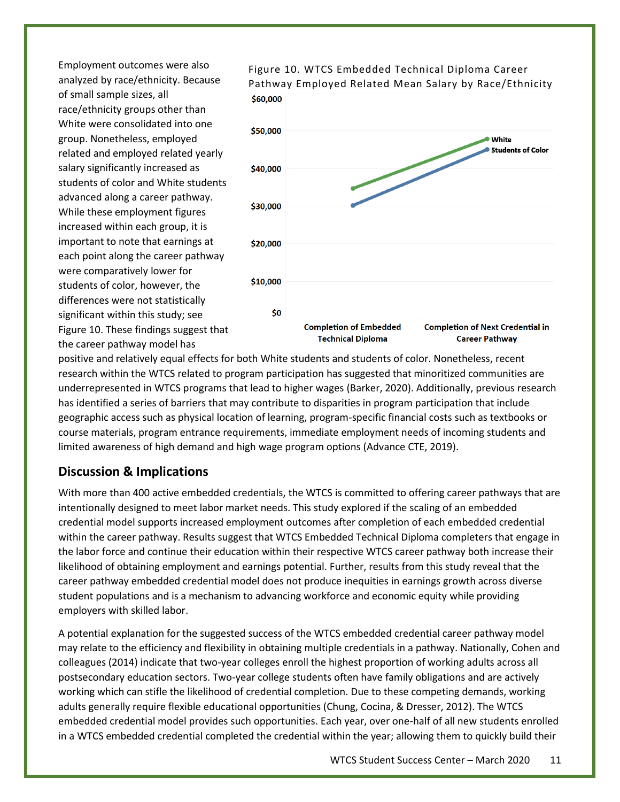Employment outcomes were also analyzed by race/ethnicity. Because of small sample sizes, all race/ethnicity groups other than White were consolidated into one group. Nonetheless, employed related and employed related yearly salary significantly increased as students of color and White students advanced along a career pathway. While these employment figures increased within each group, it is important to note that earnings at each point along the career pathway were comparatively lower for students of color, however, the differences were not statistically significant within this study; see Figure 10. These findings suggest that the career pathway model has



Figure 10. WTCS Embedded Technical Diploma Career Pathway Employed Related Mean Salary by Race/Ethnicity

positive and relatively equal effects for both White students and students of color. Nonetheless, recent research within the WTCS related to program participation has suggested that minoritized communities are underrepresented in WTCS programs that lead to higher wages (Barker, 2020). Additionally, previous research has identified a series of barriers that may contribute to disparities in program participation that include geographic access such as physical location of learning, program-specific financial costs such as textbooks or course materials, program entrance requirements, immediate employment needs of incoming students and limited awareness of high demand and high wage program options (Advance CTE, 2019).

## **Discussion & Implications**

With more than 400 active embedded credentials, the WTCS is committed to offering career pathways that are intentionally designed to meet labor market needs. This study explored if the scaling of an embedded credential model supports increased employment outcomes after completion of each embedded credential within the career pathway. Results suggest that WTCS Embedded Technical Diploma completers that engage in the labor force and continue their education within their respective WTCS career pathway both increase their likelihood of obtaining employment and earnings potential. Further, results from this study reveal that the career pathway embedded credential model does not produce inequities in earnings growth across diverse student populations and is a mechanism to advancing workforce and economic equity while providing employers with skilled labor.

A potential explanation for the suggested success of the WTCS embedded credential career pathway model may relate to the efficiency and flexibility in obtaining multiple credentials in a pathway. Nationally, Cohen and colleagues (2014) indicate that two-year colleges enroll the highest proportion of working adults across all postsecondary education sectors. Two-year college students often have family obligations and are actively working which can stifle the likelihood of credential completion. Due to these competing demands, working adults generally require flexible educational opportunities (Chung, Cocina, & Dresser, 2012). The WTCS embedded credential model provides such opportunities. Each year, over one-half of all new students enrolled in a WTCS embedded credential completed the credential within the year; allowing them to quickly build their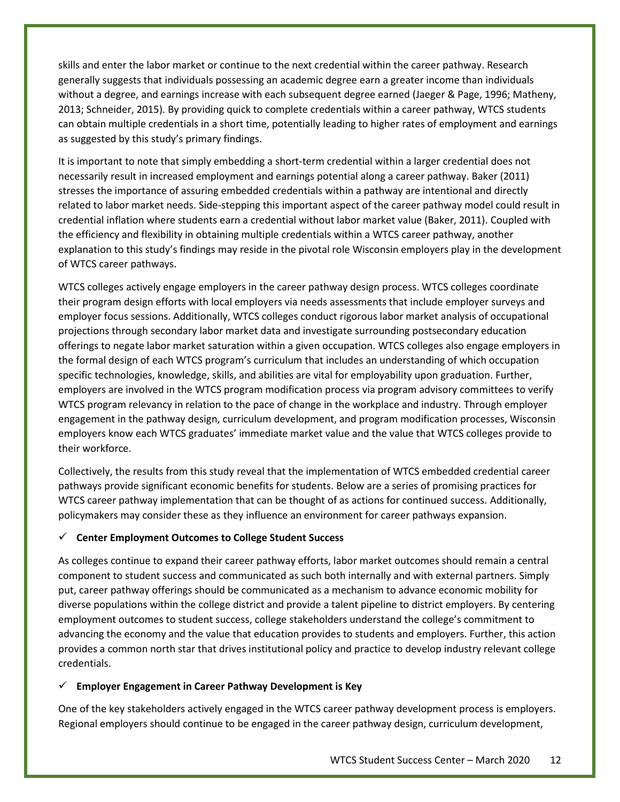skills and enter the labor market or continue to the next credential within the career pathway. Research generally suggests that individuals possessing an academic degree earn a greater income than individuals without a degree, and earnings increase with each subsequent degree earned (Jaeger & Page, 1996; Matheny, 2013; Schneider, 2015). By providing quick to complete credentials within a career pathway, WTCS students can obtain multiple credentials in a short time, potentially leading to higher rates of employment and earnings as suggested by this study's primary findings.

It is important to note that simply embedding a short-term credential within a larger credential does not necessarily result in increased employment and earnings potential along a career pathway. Baker (2011) stresses the importance of assuring embedded credentials within a pathway are intentional and directly related to labor market needs. Side-stepping this important aspect of the career pathway model could result in credential inflation where students earn a credential without labor market value (Baker, 2011). Coupled with the efficiency and flexibility in obtaining multiple credentials within a WTCS career pathway, another explanation to this study's findings may reside in the pivotal role Wisconsin employers play in the development of WTCS career pathways.

WTCS colleges actively engage employers in the career pathway design process. WTCS colleges coordinate their program design efforts with local employers via needs assessments that include employer surveys and employer focus sessions. Additionally, WTCS colleges conduct rigorous labor market analysis of occupational projections through secondary labor market data and investigate surrounding postsecondary education offerings to negate labor market saturation within a given occupation. WTCS colleges also engage employers in the formal design of each WTCS program's curriculum that includes an understanding of which occupation specific technologies, knowledge, skills, and abilities are vital for employability upon graduation. Further, employers are involved in the WTCS program modification process via program advisory committees to verify WTCS program relevancy in relation to the pace of change in the workplace and industry. Through employer engagement in the pathway design, curriculum development, and program modification processes, Wisconsin employers know each WTCS graduates' immediate market value and the value that WTCS colleges provide to their workforce.

Collectively, the results from this study reveal that the implementation of WTCS embedded credential career pathways provide significant economic benefits for students. Below are a series of promising practices for WTCS career pathway implementation that can be thought of as actions for continued success. Additionally, policymakers may consider these as they influence an environment for career pathways expansion.

#### ✓ **Center Employment Outcomes to College Student Success**

As colleges continue to expand their career pathway efforts, labor market outcomes should remain a central component to student success and communicated as such both internally and with external partners. Simply put, career pathway offerings should be communicated as a mechanism to advance economic mobility for diverse populations within the college district and provide a talent pipeline to district employers. By centering employment outcomes to student success, college stakeholders understand the college's commitment to advancing the economy and the value that education provides to students and employers. Further, this action provides a common north star that drives institutional policy and practice to develop industry relevant college credentials.

#### ✓ **Employer Engagement in Career Pathway Development is Key**

One of the key stakeholders actively engaged in the WTCS career pathway development process is employers. Regional employers should continue to be engaged in the career pathway design, curriculum development,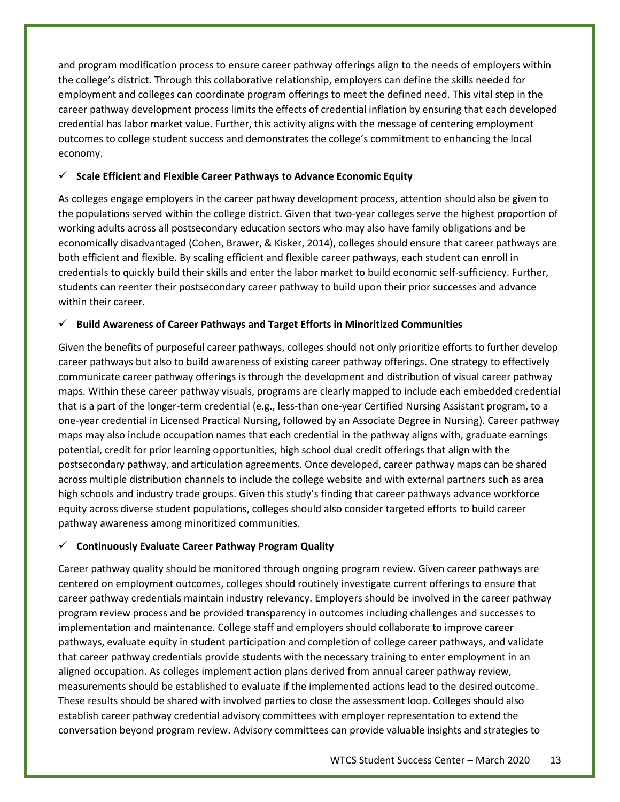and program modification process to ensure career pathway offerings align to the needs of employers within the college's district. Through this collaborative relationship, employers can define the skills needed for employment and colleges can coordinate program offerings to meet the defined need. This vital step in the career pathway development process limits the effects of credential inflation by ensuring that each developed credential has labor market value. Further, this activity aligns with the message of centering employment outcomes to college student success and demonstrates the college's commitment to enhancing the local economy.

#### ✓ **Scale Efficient and Flexible Career Pathways to Advance Economic Equity**

As colleges engage employers in the career pathway development process, attention should also be given to the populations served within the college district. Given that two-year colleges serve the highest proportion of working adults across all postsecondary education sectors who may also have family obligations and be economically disadvantaged (Cohen, Brawer, & Kisker, 2014), colleges should ensure that career pathways are both efficient and flexible. By scaling efficient and flexible career pathways, each student can enroll in credentials to quickly build their skills and enter the labor market to build economic self-sufficiency. Further, students can reenter their postsecondary career pathway to build upon their prior successes and advance within their career.

#### ✓ **Build Awareness of Career Pathways and Target Efforts in Minoritized Communities**

Given the benefits of purposeful career pathways, colleges should not only prioritize efforts to further develop career pathways but also to build awareness of existing career pathway offerings. One strategy to effectively communicate career pathway offerings is through the development and distribution of visual career pathway maps. Within these career pathway visuals, programs are clearly mapped to include each embedded credential that is a part of the longer-term credential (e.g., less-than one-year Certified Nursing Assistant program, to a one-year credential in Licensed Practical Nursing, followed by an Associate Degree in Nursing). Career pathway maps may also include occupation names that each credential in the pathway aligns with, graduate earnings potential, credit for prior learning opportunities, high school dual credit offerings that align with the postsecondary pathway, and articulation agreements. Once developed, career pathway maps can be shared across multiple distribution channels to include the college website and with external partners such as area high schools and industry trade groups. Given this study's finding that career pathways advance workforce equity across diverse student populations, colleges should also consider targeted efforts to build career pathway awareness among minoritized communities.

#### ✓ **Continuously Evaluate Career Pathway Program Quality**

Career pathway quality should be monitored through ongoing program review. Given career pathways are centered on employment outcomes, colleges should routinely investigate current offerings to ensure that career pathway credentials maintain industry relevancy. Employers should be involved in the career pathway program review process and be provided transparency in outcomes including challenges and successes to implementation and maintenance. College staff and employers should collaborate to improve career pathways, evaluate equity in student participation and completion of college career pathways, and validate that career pathway credentials provide students with the necessary training to enter employment in an aligned occupation. As colleges implement action plans derived from annual career pathway review, measurements should be established to evaluate if the implemented actions lead to the desired outcome. These results should be shared with involved parties to close the assessment loop. Colleges should also establish career pathway credential advisory committees with employer representation to extend the conversation beyond program review. Advisory committees can provide valuable insights and strategies to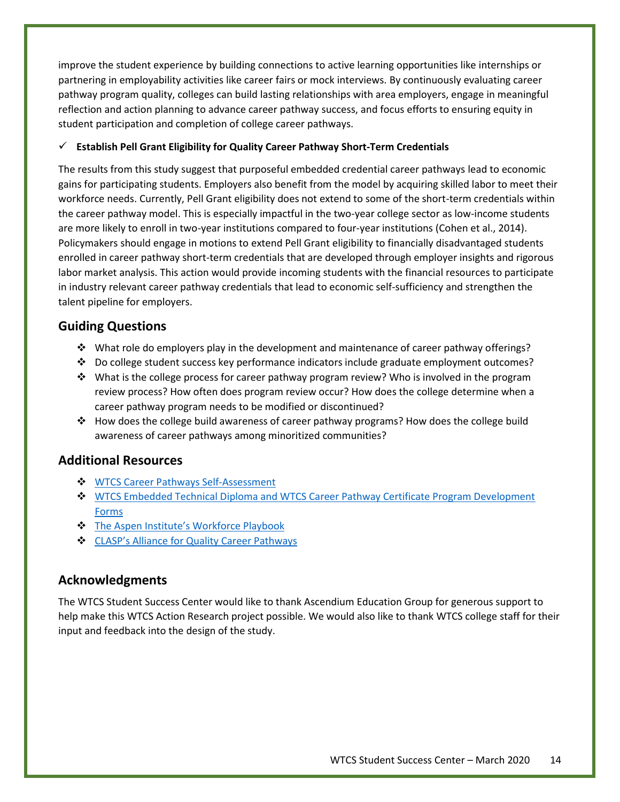improve the student experience by building connections to active learning opportunities like internships or partnering in employability activities like career fairs or mock interviews. By continuously evaluating career pathway program quality, colleges can build lasting relationships with area employers, engage in meaningful reflection and action planning to advance career pathway success, and focus efforts to ensuring equity in student participation and completion of college career pathways.

#### ✓ **Establish Pell Grant Eligibility for Quality Career Pathway Short-Term Credentials**

The results from this study suggest that purposeful embedded credential career pathways lead to economic gains for participating students. Employers also benefit from the model by acquiring skilled labor to meet their workforce needs. Currently, Pell Grant eligibility does not extend to some of the short-term credentials within the career pathway model. This is especially impactful in the two-year college sector as low-income students are more likely to enroll in two-year institutions compared to four-year institutions (Cohen et al., 2014). Policymakers should engage in motions to extend Pell Grant eligibility to financially disadvantaged students enrolled in career pathway short-term credentials that are developed through employer insights and rigorous labor market analysis. This action would provide incoming students with the financial resources to participate in industry relevant career pathway credentials that lead to economic self-sufficiency and strengthen the talent pipeline for employers.

## **Guiding Questions**

- ❖ What role do employers play in the development and maintenance of career pathway offerings?
- ❖ Do college student success key performance indicators include graduate employment outcomes?
- ❖ What is the college process for career pathway program review? Who is involved in the program review process? How often does program review occur? How does the college determine when a career pathway program needs to be modified or discontinued?
- ❖ How does the college build awareness of career pathway programs? How does the college build awareness of career pathways among minoritized communities?

## **Additional Resources**

- ❖ [WTCS Career Pathways Self-Assessment](https://mywtcs.wtcsystem.edu/student-success/career-pathways)
- ❖ [WTCS Embedded Technical Diploma and WTCS Career Pathway Certificate Program Development](https://mywtcs.wtcsystem.edu/instructional-services/instructional-services-resources/program-development-form)  [Forms](https://mywtcs.wtcsystem.edu/instructional-services/instructional-services-resources/program-development-form)
- ❖ [The Aspen Institute's Workforce Playbook](https://highered.aspeninstitute.org/wp-content/uploads/2019/06/The-Workforce-Playbook_Final.pdf)
- ❖ CLASP's [Alliance for Quality Career Pathways](https://www.clasp.org/tags/alliance-quality-career-pathways-aqcp)

## **Acknowledgments**

The WTCS Student Success Center would like to thank Ascendium Education Group for generous support to help make this WTCS Action Research project possible. We would also like to thank WTCS college staff for their input and feedback into the design of the study.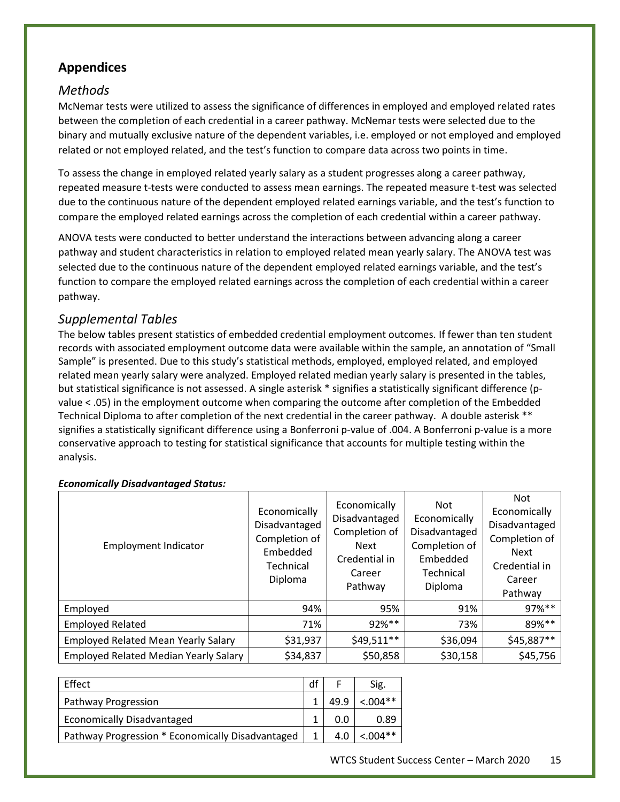## **Appendices**

## *Methods*

McNemar tests were utilized to assess the significance of differences in employed and employed related rates between the completion of each credential in a career pathway. McNemar tests were selected due to the binary and mutually exclusive nature of the dependent variables, i.e. employed or not employed and employed related or not employed related, and the test's function to compare data across two points in time.

To assess the change in employed related yearly salary as a student progresses along a career pathway, repeated measure t-tests were conducted to assess mean earnings. The repeated measure t-test was selected due to the continuous nature of the dependent employed related earnings variable, and the test's function to compare the employed related earnings across the completion of each credential within a career pathway.

ANOVA tests were conducted to better understand the interactions between advancing along a career pathway and student characteristics in relation to employed related mean yearly salary. The ANOVA test was selected due to the continuous nature of the dependent employed related earnings variable, and the test's function to compare the employed related earnings across the completion of each credential within a career pathway.

## *Supplemental Tables*

The below tables present statistics of embedded credential employment outcomes. If fewer than ten student records with associated employment outcome data were available within the sample, an annotation of "Small Sample" is presented. Due to this study's statistical methods, employed, employed related, and employed related mean yearly salary were analyzed. Employed related median yearly salary is presented in the tables, but statistical significance is not assessed. A single asterisk \* signifies a statistically significant difference (pvalue < .05) in the employment outcome when comparing the outcome after completion of the Embedded Technical Diploma to after completion of the next credential in the career pathway. A double asterisk \*\* signifies a statistically significant difference using a Bonferroni p-value of .004. A Bonferroni p-value is a more conservative approach to testing for statistical significance that accounts for multiple testing within the analysis.

#### Employment Indicator Economically Disadvantaged Completion of Embedded Technical Diploma Economically Disadvantaged Completion of Next Credential in Career Pathway Not Economically Disadvantaged Completion of Embedded Technical Diploma Not Economically Disadvantaged Completion of Next Credential in Career Pathway Employed | 94% | 95% | 91% | 97%\*\* Employed Related The Research Control of the Research of the Page 71% and 1998 1998 and 1998 and 1998 and 199 Employed Related Mean Yearly Salary  $\vert$  \$31,937  $\vert$  \$49,511\*\*  $\vert$  \$36,094  $\vert$  \$45,887\*\* Employed Related Median Yearly Salary  $\vert$  \$34,837  $\vert$  \$50,858  $\vert$  \$30,158  $\vert$  \$45,756

#### *Economically Disadvantaged Status:*

| Effect                                           | df |      | Sig.        |
|--------------------------------------------------|----|------|-------------|
| Pathway Progression                              |    | 49.9 | $< 0.004**$ |
| <b>Economically Disadvantaged</b>                |    | 0.0  | 0.89        |
| Pathway Progression * Economically Disadvantaged |    | 4.0  | $< 0.04**$  |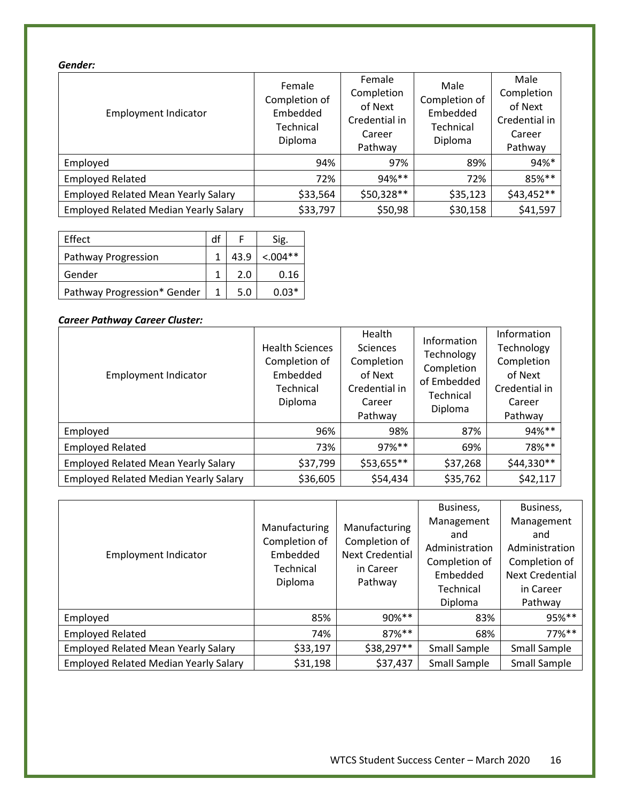#### *Gender:*

| <b>Employment Indicator</b>                  | Female<br>Completion of<br>Embedded<br>Technical<br>Diploma | Female<br>Completion<br>of Next<br>Credential in<br>Career<br>Pathway | Male<br>Completion of<br>Embedded<br>Technical<br>Diploma | Male<br>Completion<br>of Next<br>Credential in<br>Career<br>Pathway |
|----------------------------------------------|-------------------------------------------------------------|-----------------------------------------------------------------------|-----------------------------------------------------------|---------------------------------------------------------------------|
| Employed                                     | 94%                                                         | 97%                                                                   | 89%                                                       | 94%*                                                                |
| <b>Employed Related</b>                      | 72%                                                         | 94%**                                                                 | 72%                                                       | 85%**                                                               |
| <b>Employed Related Mean Yearly Salary</b>   | \$33,564                                                    | \$50,328**                                                            | \$35,123                                                  | $$43,452**$                                                         |
| <b>Employed Related Median Yearly Salary</b> | \$33,797                                                    | \$50,98                                                               | \$30,158                                                  | \$41,597                                                            |

| Effect                      | df |      | Sig.       |
|-----------------------------|----|------|------------|
| Pathway Progression         |    | 43.9 | $< 0.04**$ |
| Gender                      |    | 2.0  | 0.16       |
| Pathway Progression* Gender |    | 5.0  | በ በ3*      |

### *Career Pathway Career Cluster:*

| <b>Employment Indicator</b>                  | <b>Health Sciences</b><br>Completion of<br>Embedded<br>Technical<br>Diploma | Health<br><b>Sciences</b><br>Completion<br>of Next<br>Credential in<br>Career<br>Pathway | Information<br>Technology<br>Completion<br>of Embedded<br>Technical<br>Diploma | Information<br>Technology<br>Completion<br>of Next<br>Credential in<br>Career<br>Pathway |
|----------------------------------------------|-----------------------------------------------------------------------------|------------------------------------------------------------------------------------------|--------------------------------------------------------------------------------|------------------------------------------------------------------------------------------|
| Employed                                     | 96%                                                                         | 98%                                                                                      | 87%                                                                            | 94%**                                                                                    |
| <b>Employed Related</b>                      | 73%                                                                         | $97\%$ **                                                                                | 69%                                                                            | 78%**                                                                                    |
| <b>Employed Related Mean Yearly Salary</b>   | \$37,799                                                                    | $$53,655**$$                                                                             | \$37,268                                                                       | $$44,330**$                                                                              |
| <b>Employed Related Median Yearly Salary</b> | \$36,605                                                                    | \$54,434                                                                                 | \$35,762                                                                       | \$42,117                                                                                 |

| <b>Employment Indicator</b>                  | Manufacturing<br>Completion of<br>Embedded<br>Technical<br>Diploma | Manufacturing<br>Completion of<br><b>Next Credential</b><br>in Career<br>Pathway | Business,<br>Management<br>and<br>Administration<br>Completion of<br>Embedded<br>Technical<br>Diploma | Business,<br>Management<br>and<br>Administration<br>Completion of<br><b>Next Credential</b><br>in Career<br>Pathway |
|----------------------------------------------|--------------------------------------------------------------------|----------------------------------------------------------------------------------|-------------------------------------------------------------------------------------------------------|---------------------------------------------------------------------------------------------------------------------|
| Employed                                     | 85%                                                                | 90%**                                                                            | 83%                                                                                                   | 95%**                                                                                                               |
| <b>Employed Related</b>                      | 74%                                                                | 87%**                                                                            | 68%                                                                                                   | $77\%$ **                                                                                                           |
| <b>Employed Related Mean Yearly Salary</b>   | \$33,197                                                           | \$38,297**                                                                       | Small Sample                                                                                          | Small Sample                                                                                                        |
| <b>Employed Related Median Yearly Salary</b> | \$31,198                                                           | \$37,437                                                                         | Small Sample                                                                                          | Small Sample                                                                                                        |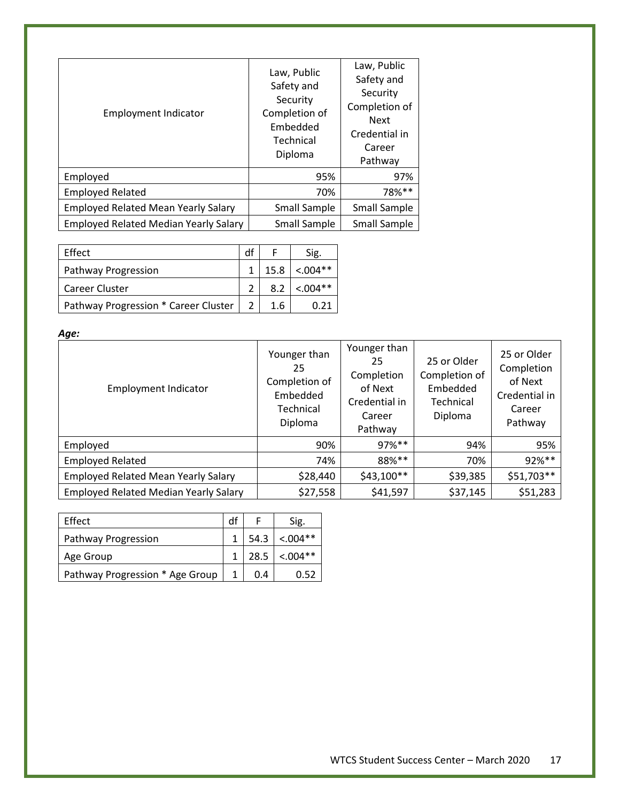| <b>Employment Indicator</b>                  | Law, Public<br>Safety and<br>Security<br>Completion of<br>Embedded<br>Technical<br>Diploma | Law, Public<br>Safety and<br>Security<br>Completion of<br><b>Next</b><br>Credential in<br>Career<br>Pathway |
|----------------------------------------------|--------------------------------------------------------------------------------------------|-------------------------------------------------------------------------------------------------------------|
| Employed                                     | 95%                                                                                        | 97%                                                                                                         |
| <b>Employed Related</b>                      | 70%                                                                                        | 78%**                                                                                                       |
| <b>Employed Related Mean Yearly Salary</b>   | Small Sample                                                                               | Small Sample                                                                                                |
| <b>Employed Related Median Yearly Salary</b> | Small Sample                                                                               | Small Sample                                                                                                |

| Effect                               |      | Sig.        |
|--------------------------------------|------|-------------|
| Pathway Progression                  | 15.8 | $< 0.004**$ |
| Career Cluster                       | 8.2  | $< 0.004**$ |
| Pathway Progression * Career Cluster | 1.6  |             |

*Age:*

| <b>Employment Indicator</b>                  | Younger than<br>25<br>Completion of<br>Embedded<br>Technical<br>Diploma | Younger than<br>25<br>Completion<br>of Next<br>Credential in<br>Career<br>Pathway | 25 or Older<br>Completion of<br>Embedded<br>Technical<br>Diploma | 25 or Older<br>Completion<br>of Next<br>Credential in<br>Career<br>Pathway |
|----------------------------------------------|-------------------------------------------------------------------------|-----------------------------------------------------------------------------------|------------------------------------------------------------------|----------------------------------------------------------------------------|
| Employed                                     | 90%                                                                     | $97\%$ **                                                                         | 94%                                                              | 95%                                                                        |
| <b>Employed Related</b>                      | 74%                                                                     | 88%**                                                                             | 70%                                                              | 92%**                                                                      |
| <b>Employed Related Mean Yearly Salary</b>   | \$28,440                                                                | $$43,100**$                                                                       | \$39,385                                                         | \$51,703**                                                                 |
| <b>Employed Related Median Yearly Salary</b> | \$27,558                                                                | \$41,597                                                                          | \$37,145                                                         | \$51,283                                                                   |

| Effect                          | df |     | Sig.            |
|---------------------------------|----|-----|-----------------|
| Pathway Progression             |    |     | $54.3$ < .004** |
| Age Group                       |    |     | $28.5$ < .004** |
| Pathway Progression * Age Group |    | 0.4 | 0.52            |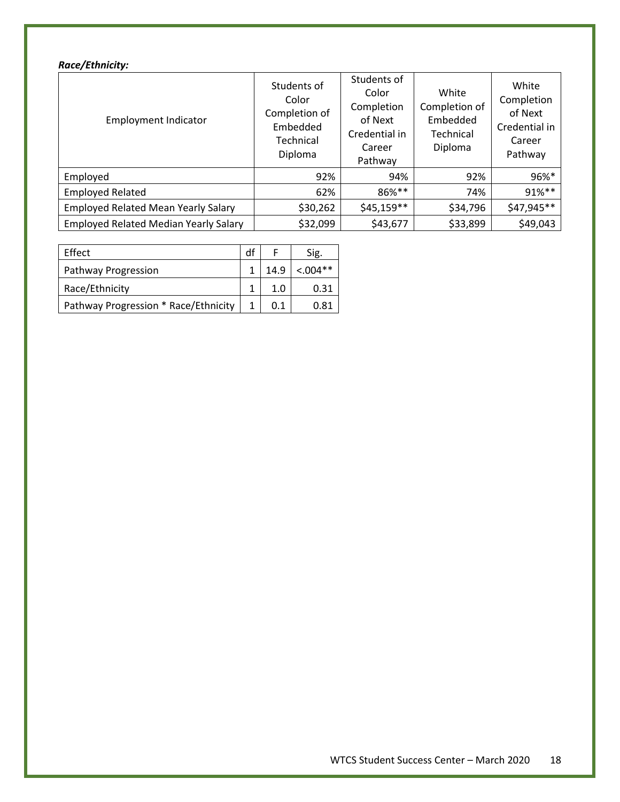#### *Race/Ethnicity:*

| <b>Employment Indicator</b>                  | Students of<br>Color<br>Completion of<br>Embedded<br>Technical<br>Diploma | Students of<br>Color<br>Completion<br>of Next<br>Credential in<br>Career<br>Pathway | White<br>Completion of<br>Embedded<br>Technical<br>Diploma | White<br>Completion<br>of Next<br>Credential in<br>Career<br>Pathway |
|----------------------------------------------|---------------------------------------------------------------------------|-------------------------------------------------------------------------------------|------------------------------------------------------------|----------------------------------------------------------------------|
| Employed                                     | 92%                                                                       | 94%                                                                                 | 92%                                                        | 96%*                                                                 |
| <b>Employed Related</b>                      | 62%                                                                       | 86%**                                                                               | 74%                                                        | 91%**                                                                |
| <b>Employed Related Mean Yearly Salary</b>   | \$30,262                                                                  | $$45,159**$$                                                                        | \$34,796                                                   | \$47,945**                                                           |
| <b>Employed Related Median Yearly Salary</b> | \$32,099                                                                  | \$43,677                                                                            | \$33,899                                                   | \$49,043                                                             |

| Effect                               | df |      | Sig.       |
|--------------------------------------|----|------|------------|
| Pathway Progression                  |    | 14.9 | $< 0.04**$ |
| Race/Ethnicity                       |    | 1.0  | 0.31       |
| Pathway Progression * Race/Ethnicity |    | 0.1  | 0.81       |